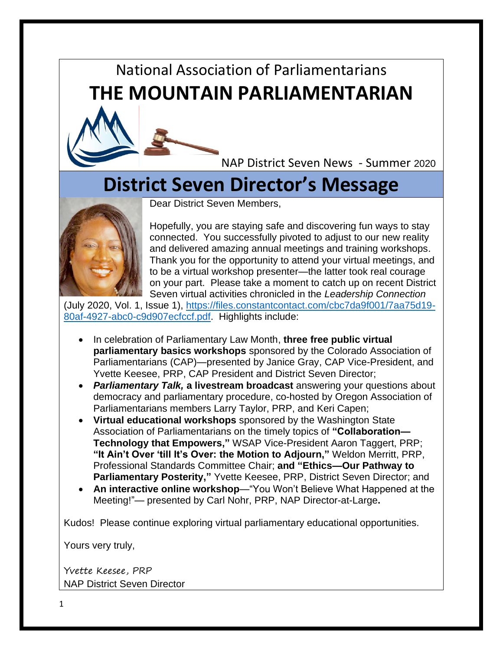## National Association of Parliamentarians **THE MOUNTAIN PARLIAMENTARIAN**

NAP District Seven News - Summer 2020

## **District Seven Director's Message**



Dear District Seven Members,

Hopefully, you are staying safe and discovering fun ways to stay connected. You successfully pivoted to adjust to our new reality and delivered amazing annual meetings and training workshops. Thank you for the opportunity to attend your virtual meetings, and to be a virtual workshop presenter—the latter took real courage on your part. Please take a moment to catch up on recent District Seven virtual activities chronicled in the *Leadership Connection*

(July 2020, Vol. 1, Issue 1), [https://files.constantcontact.com/cbc7da9f001/7aa75d19-](https://files.constantcontact.com/cbc7da9f001/7aa75d19-80af-4927-abc0-c9d907ecfccf.pdf) [80af-4927-abc0-c9d907ecfccf.pdf.](https://files.constantcontact.com/cbc7da9f001/7aa75d19-80af-4927-abc0-c9d907ecfccf.pdf) Highlights include:

- In celebration of Parliamentary Law Month, **three free public virtual parliamentary basics workshops** sponsored by the Colorado Association of Parliamentarians (CAP)—presented by Janice Gray, CAP Vice-President, and Yvette Keesee, PRP, CAP President and District Seven Director;
- *Parliamentary Talk,* **a livestream broadcast** answering your questions about democracy and parliamentary procedure, co-hosted by Oregon Association of Parliamentarians members Larry Taylor, PRP, and Keri Capen;
- **Virtual educational workshops** sponsored by the Washington State Association of Parliamentarians on the timely topics of **"Collaboration— Technology that Empowers,"** WSAP Vice-President Aaron Taggert, PRP; **"It Ain't Over 'till It's Over: the Motion to Adjourn,"** Weldon Merritt, PRP, Professional Standards Committee Chair; **and "Ethics—Our Pathway to Parliamentary Posterity,"** Yvette Keesee, PRP, District Seven Director; and
- **An interactive online workshop**—"You Won't Believe What Happened at the Meeting!"— presented by Carl Nohr, PRP, NAP Director-at-Large**.**

Kudos! Please continue exploring virtual parliamentary educational opportunities.

Yours very truly,

Yvette Keesee, PRP NAP District Seven Director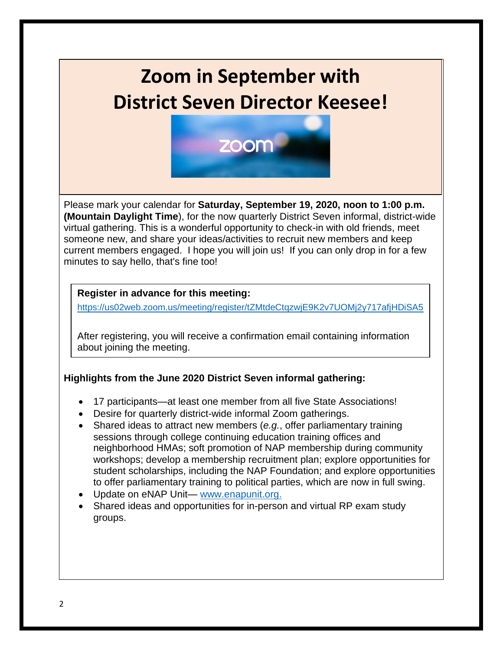# **Zoom in September with District Seven Director Keesee!**



Please mark your calendar for **Saturday, September 19, 2020, noon to 1:00 p.m. (Mountain Daylight Time**), for the now quarterly District Seven informal, district-wide virtual gathering. This is a wonderful opportunity to check-in with old friends, meet someone new, and share your ideas/activities to recruit new members and keep current members engaged. I hope you will join us! If you can only drop in for a few minutes to say hello, that's fine too!

#### **Register in advance for this meeting:**

<https://us02web.zoom.us/meeting/register/tZMtdeCtqzwjE9K2v7UOMj2y717afjHDiSA5>

After registering, you will receive a confirmation email containing information about joining the meeting.

#### **Highlights from the June 2020 District Seven informal gathering:**

- 17 participants—at least one member from all five State Associations!
- Desire for quarterly district-wide informal Zoom gatherings.
- Shared ideas to attract new members (*e.g.*, offer parliamentary training sessions through college continuing education training offices and neighborhood HMAs; soft promotion of NAP membership during community workshops; develop a membership recruitment plan; explore opportunities for student scholarships, including the NAP Foundation; and explore opportunities to offer parliamentary training to political parties, which are now in full swing.
- Update on eNAP Unit— [www.enapunit.org.](http://www.enapunit.org/)
- Shared ideas and opportunities for in-person and virtual RP exam study groups.

 $\overline{a}$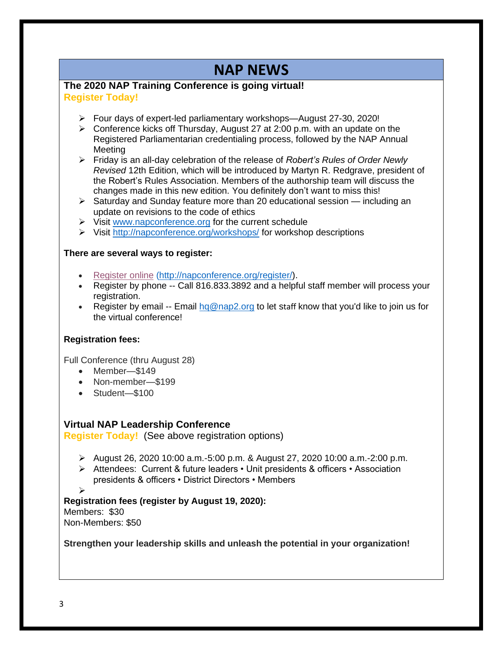## **NAP NEWS**

#### **The 2020 NAP Training Conference is going virtual! Register Today!**

- ➢ Four days of expert-led parliamentary workshops—August 27-30, 2020!
- $\triangleright$  Conference kicks off Thursday, August 27 at 2:00 p.m. with an update on the Registered Parliamentarian credentialing process, followed by the NAP Annual Meeting
- ➢ Friday is an all-day celebration of the release of *Robert's Rules of Order Newly Revised* 12th Edition, which will be introduced by Martyn R. Redgrave, president of the Robert's Rules Association. Members of the authorship team will discuss the changes made in this new edition. You definitely don't want to miss this!
- $\triangleright$  Saturday and Sunday feature more than 20 educational session including an update on revisions to the code of ethics
- ➢ Visit [www.napconference.org](http://r20.rs6.net/tn.jsp?f=001qIxaSTjsiuaHyQaPBJujkjXn4vXqxgoMFXnGFqIZnvNx0n_urNkfNVIa8vWB7g-XVUwTaj07j4M_AeCKvdE6uWJHhNh4QVRy7kLXnrevhAp-6tshbUimqdvqCeTt0k7wh48p-xwjlGOxJCjqiUfU5wqjnQdHXkyXk6BKUM7BvMjaRAuf2rH1iw==&c=oPOvMqRWuvHrEzTBWX6k3m_CmBWnIpPrYE-WGu66NWmv0R7Fd7LGng==&ch=QBsxwP-8mmFCwbBJCj1IEU_Z5ZDaAqL6Pvd-waTE4m1PSp12DvE6EQ==) for the current schedule
- ➢ Visit [http://napconference.org/workshops/](http://r20.rs6.net/tn.jsp?f=001qIxaSTjsiuaHyQaPBJujkjXn4vXqxgoMFXnGFqIZnvNx0n_urNkfNagNgFM2OlkRqrJAHtw1K7DmPxHf4K30dvfu89tyVMaOCJmGMgXGbbOmbMX7c60a57saP6aW-bNcEsEBVFYsc3aSZvgyISGQ6x_pzl1WaApqvOLxSYrfsViwguBuEbOUXoKiChVYX9kCWcNXq8pPAxw=&c=oPOvMqRWuvHrEzTBWX6k3m_CmBWnIpPrYE-WGu66NWmv0R7Fd7LGng==&ch=QBsxwP-8mmFCwbBJCj1IEU_Z5ZDaAqL6Pvd-waTE4m1PSp12DvE6EQ==) for workshop descriptions

#### **There are several ways to register:**

- [Register](http://r20.rs6.net/tn.jsp?f=001qIxaSTjsiuaHyQaPBJujkjXn4vXqxgoMFXnGFqIZnvNx0n_urNkfNWVGAbg-VpCMBoWDSm5oqTy5ihqJbDYSzRVz5YUAyrG1AEM5FlHqPYPHiWHwd8_2kvgUQuaf-TQO89hI9_jS7dkAQEuWg-qEuK_wSvRG0QhmtYpAi3EorDr8cihhQ0TzyOrMPDRoOyWg&c=oPOvMqRWuvHrEzTBWX6k3m_CmBWnIpPrYE-WGu66NWmv0R7Fd7LGng==&ch=QBsxwP-8mmFCwbBJCj1IEU_Z5ZDaAqL6Pvd-waTE4m1PSp12DvE6EQ==) online [\(http://napconference.org/register/\)](http://napconference.org/register/).
- Register by phone -- Call 816.833.3892 and a helpful staff member will process your registration.
- Register by email -- Email  $\log_{\theta}$  ap2.org to let staff know that you'd like to join us for the virtual conference!

#### **Registration fees:**

Full Conference (thru August 28)

- Member—\$149
- Non-member—\$199
- Student—\$100

#### **Virtual NAP Leadership Conference**

**Register Today!** (See above registration options)

- $\geq$  August 26, 2020 10:00 a.m. -5:00 p.m. & August 27, 2020 10:00 a.m. -2:00 p.m.
- ➢ Attendees: Current & future leaders Unit presidents & officers Association presidents & officers • District Directors • Members

➢

#### **Registration fees (register by August 19, 2020):**

Members: \$30 Non-Members: \$50

**Strengthen your leadership skills and unleash the potential in your organization!**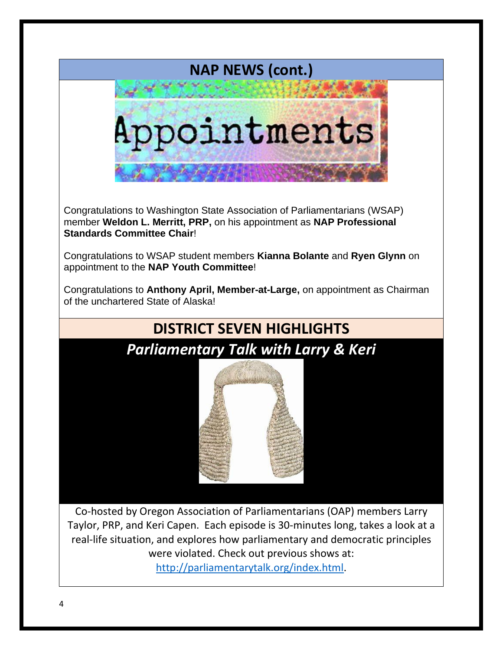

Congratulations to Washington State Association of Parliamentarians (WSAP) member **Weldon L. Merritt, PRP,** on his appointment as **NAP Professional Standards Committee Chair**!

Congratulations to WSAP student members **Kianna Bolante** and **Ryen Glynn** on appointment to the **NAP Youth Committee**!

Congratulations to **Anthony April, Member-at-Large,** on appointment as Chairman of the unchartered State of Alaska!

# **DISTRICT SEVEN HIGHLIGHTS** *Parliamentary Talk with Larry & Keri*

Co-hosted by Oregon Association of Parliamentarians (OAP) members Larry Taylor, PRP, and Keri Capen. Each episode is 30-minutes long, takes a look at a real-life situation, and explores how parliamentary and democratic principles were violated. Check out previous shows at: [http://parliamentarytalk.org/index.html.](http://parliamentarytalk.org/index.html)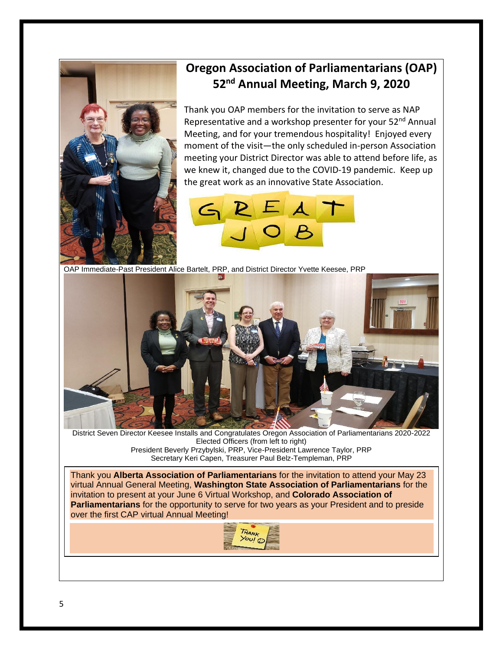

### **Oregon Association of Parliamentarians (OAP) 52nd Annual Meeting, March 9, 2020**

Thank you OAP members for the invitation to serve as NAP Representative and a workshop presenter for your 52<sup>nd</sup> Annual Meeting, and for your tremendous hospitality! Enjoyed every moment of the visit—the only scheduled in-person Association meeting your District Director was able to attend before life, as we knew it, changed due to the COVID-19 pandemic. Keep up the great work as an innovative State Association.



OAP Immediate-Past President Alice Bartelt, PRP, and District Director Yvette Keesee, PRP



District Seven Director Keesee Installs and Congratulates Oregon Association of Parliamentarians 2020-2022 Elected Officers (from left to right) President Beverly Przybylski, PRP, Vice-President Lawrence Taylor, PRP Secretary Keri Capen, Treasurer Paul Belz-Templeman, PRP

Thank you **Alberta Association of Parliamentarians** for the invitation to attend your May 23 virtual Annual General Meeting, **Washington State Association of Parliamentarians** for the invitation to present at your June 6 Virtual Workshop, and **Colorado Association of Parliamentarians** for the opportunity to serve for two years as your President and to preside over the first CAP virtual Annual Meeting!